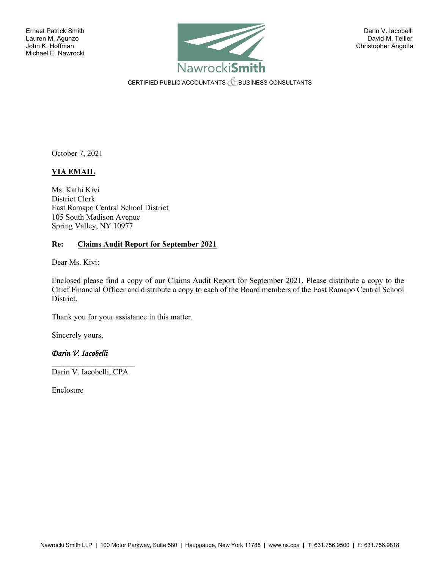

CERTIFIED PUBLIC ACCOUNTANTS **CERTIFIED PUBLIC ACCOUNTANTS** 

October 7, 2021

# **VIA EMAIL**

Ms. Kathi Kivi District Clerk East Ramapo Central School District 105 South Madison Avenue Spring Valley, NY 10977

#### **Re: Claims Audit Report for September 2021**

Dear Ms. Kivi:

Enclosed please find a copy of our Claims Audit Report for September 2021. Please distribute a copy to the Chief Financial Officer and distribute a copy to each of the Board members of the East Ramapo Central School District.

Thank you for your assistance in this matter.

Sincerely yours,

# *Darin V. Iacobelli*

 $\mathcal{L}_\text{max}$  , where  $\mathcal{L}_\text{max}$  , we have the set of the set of the set of the set of the set of the set of the set of the set of the set of the set of the set of the set of the set of the set of the set of the set of Darin V. Iacobelli, CPA

Enclosure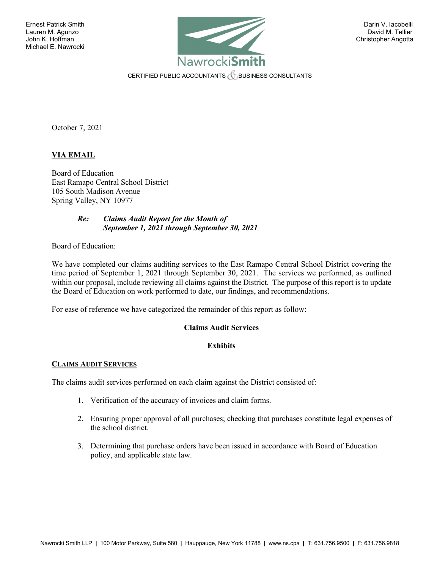

CERTIFIED PUBLIC ACCOUNTANTS  $\mathcal C$  business consultants

October 7, 2021

# **VIA EMAIL**

Board of Education East Ramapo Central School District 105 South Madison Avenue Spring Valley, NY 10977

#### *Re: Claims Audit Report for the Month of September 1, 2021 through September 30, 2021*

Board of Education:

We have completed our claims auditing services to the East Ramapo Central School District covering the time period of September 1, 2021 through September 30, 2021. The services we performed, as outlined within our proposal, include reviewing all claims against the District. The purpose of this report is to update the Board of Education on work performed to date, our findings, and recommendations.

For ease of reference we have categorized the remainder of this report as follow:

### **Claims Audit Services**

### **Exhibits**

### **CLAIMS AUDIT SERVICES**

The claims audit services performed on each claim against the District consisted of:

- 1. Verification of the accuracy of invoices and claim forms.
- 2. Ensuring proper approval of all purchases; checking that purchases constitute legal expenses of the school district.
- 3. Determining that purchase orders have been issued in accordance with Board of Education policy, and applicable state law.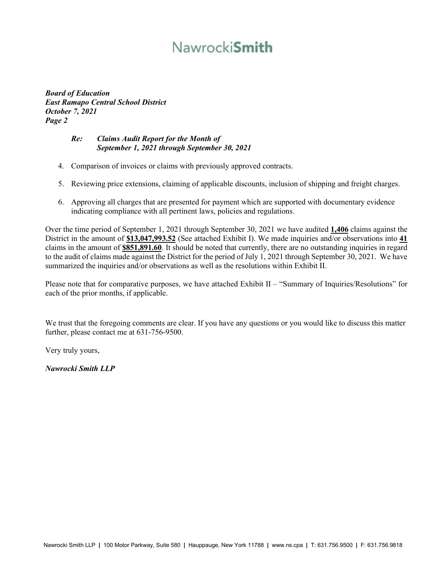# Nawrocki**Smith**

*Board of Education East Ramapo Central School District October 7, 2021 Page 2*

### *Re: Claims Audit Report for the Month of September 1, 2021 through September 30, 2021*

- 4. Comparison of invoices or claims with previously approved contracts.
- 5. Reviewing price extensions, claiming of applicable discounts, inclusion of shipping and freight charges.
- 6. Approving all charges that are presented for payment which are supported with documentary evidence indicating compliance with all pertinent laws, policies and regulations.

Over the time period of September 1, 2021 through September 30, 2021 we have audited **1,406** claims against the District in the amount of **\$13,047,993.52** (See attached Exhibit I). We made inquiries and/or observations into **41** claims in the amount of **\$851,891.60**. It should be noted that currently, there are no outstanding inquiries in regard to the audit of claims made against the District for the period of July 1, 2021 through September 30, 2021. We have summarized the inquiries and/or observations as well as the resolutions within Exhibit II.

Please note that for comparative purposes, we have attached Exhibit II – "Summary of Inquiries/Resolutions" for each of the prior months, if applicable.

We trust that the foregoing comments are clear. If you have any questions or you would like to discuss this matter further, please contact me at 631-756-9500.

Very truly yours,

*Nawrocki Smith LLP*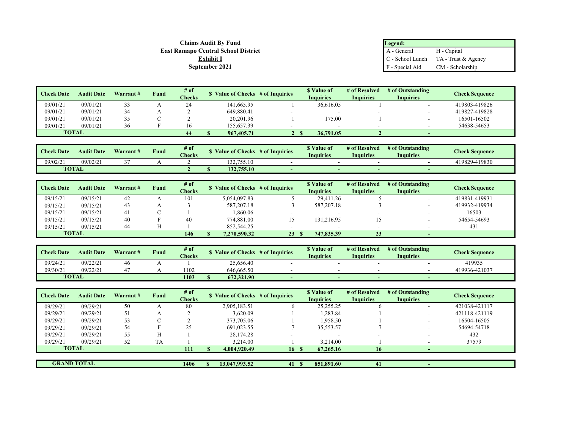| <b>Claims Audit By Fund</b>                | Legend:         |                                        |
|--------------------------------------------|-----------------|----------------------------------------|
| <b>East Ramapo Central School District</b> | A - General     | H - Capital                            |
| <b>Exhibit I</b>                           |                 | $C$ - School Lunch TA - Trust & Agency |
| September 2021                             | F - Special Aid | CM - Scholarship                       |

| <b>Check Date</b> | <b>Audit Date</b> | Warrant # | <b>Fund</b> | # of<br><b>Checks</b> | Value of Checks # of Inquiries | Value of<br>Inauiries | # of Resolved<br><b>Inquiries</b> | # of Outstanding<br>Inquiries | Check Sequence |
|-------------------|-------------------|-----------|-------------|-----------------------|--------------------------------|-----------------------|-----------------------------------|-------------------------------|----------------|
| 09/01/21          | 09/01/21          |           |             | 24                    | 141.665.95                     | 36.616.05             |                                   |                               | 419803-419826  |
| 09/01/21          | 09/01/21          |           |             |                       | 649.880.41                     |                       |                                   |                               | 419827-419828  |
| 09/01/21          | 09/01/21          | 35        |             |                       | 20,201.96                      | 175.00                |                                   |                               | 16501-16502    |
| 09/01/21          | 09/01/21          | 36        |             |                       | 155,657.39                     |                       |                                   |                               | 54638-54653    |
| <b>TOTAL</b>      |                   |           |             | 44                    | 967, 405.71                    | 36,791.05             |                                   |                               |                |

| <b>Check Date</b> | <b>Audit Date</b> | Warrant# | $\sim$<br>$H$ und | $#$ of<br><b>Checks</b> | alue of Checks/<br># of Inquiries |  | <sup>"</sup> Value of<br>Inquiries | # of Resolved<br>Inquiries | # of Outstanding<br>Inquiries | <b>Check Sequence</b> |
|-------------------|-------------------|----------|-------------------|-------------------------|-----------------------------------|--|------------------------------------|----------------------------|-------------------------------|-----------------------|
| 09/02/21          | 09/02/21          |          |                   |                         | 132.755.10                        |  |                                    |                            |                               | 419829-419830         |
| <b>TOTAL</b>      |                   |          |                   |                         | 132.755.10                        |  |                                    |                            |                               |                       |

| <b>Check Date</b> | <b>Audit Date</b> | Warrant # | <b>Fund</b> | # of          |              | <sup><i>s</i></sup> Value of<br>\$ Value of Checks # of Inquiries |              | # of Resolved    | # of Outstanding | <b>Check Sequence</b> |
|-------------------|-------------------|-----------|-------------|---------------|--------------|-------------------------------------------------------------------|--------------|------------------|------------------|-----------------------|
|                   |                   |           |             | <b>Checks</b> |              |                                                                   | Inauiries    | <b>Inquiries</b> | <b>Inquiries</b> |                       |
| 09/15/21          | 09/15/21          | 42        |             | 101           | 5,054,097.83 |                                                                   | 29.411.26    |                  | . .              | 419831-419931         |
| 09/15/21          | 09/15/21          | 43        |             |               | 587,207.18   |                                                                   | 587, 207. 18 |                  | . .              | 419932-419934         |
| 09/15/21          | 09/15/21          |           |             |               | 1,860.06     |                                                                   |              |                  |                  | 16503                 |
| 09/15/21          | 09/15/21          | 40        |             | 40            | 774.881.00   |                                                                   | 131.216.95   |                  |                  | 54654-54693           |
| 09/15/21          | 09/15/21          | 44        |             |               | 852,544.25   |                                                                   |              |                  |                  | 431                   |
| <b>TOTAL</b>      |                   |           |             | 146           | 7.270.590.32 | 23                                                                | 747.835.39   | 23               |                  |                       |

| <b>Check Date</b> | <b>Audit Date</b> | Warrant# | <b><i><u>und</u></i></b> | # of<br><b>Checks</b> | <b>Value of Checks</b> | # of Inquiries | "Value of<br>Inquiries | # of Resolved<br><b>Inquiries</b> | # of Outstanding<br><b>Inquiries</b> | <b>Check Sequence</b> |
|-------------------|-------------------|----------|--------------------------|-----------------------|------------------------|----------------|------------------------|-----------------------------------|--------------------------------------|-----------------------|
| 09/24/2           | 09/22/21          | 46       |                          |                       | 25,656.40              |                |                        |                                   |                                      | 419935                |
| 09/30/2           | 09/22/21          |          |                          | 1102                  | 646,665.50             |                |                        |                                   |                                      | 419936-421037         |
| <b>TOTAL</b>      |                   |          |                          | 1103                  | 672,321.90             |                |                        |                                   | <b>.</b>                             |                       |

| <b>Check Date</b>  | <b>Audit Date</b> | Warrant# | Fund      | $#$ of<br><b>Checks</b> | \$ Value of Checks # of Inquiries |     | \$ Value of<br><b>Inquiries</b> | # of Resolved<br><b>Inquiries</b> | # of Outstanding<br><b>Inquiries</b> | <b>Check Sequence</b> |
|--------------------|-------------------|----------|-----------|-------------------------|-----------------------------------|-----|---------------------------------|-----------------------------------|--------------------------------------|-----------------------|
| 09/29/21           | 09/29/21          | 50       |           | 80                      | 2,905,183.51                      |     | 25, 255. 25                     |                                   | -                                    | 421038-421117         |
| 09/29/21           | 09/29/21          | 51       |           |                         | 3.620.09                          |     | ,283.84                         |                                   |                                      | 421118-421119         |
| 09/29/21           | 09/29/21          | 53       | $\sim$    |                         | 373,705.06                        |     | 958.50                          |                                   |                                      | 16504-16505           |
| 09/29/21           | 09/29/21          | 54       |           | 25                      | 691,023.55                        |     | 35.553.57                       |                                   |                                      | 54694-54718           |
| 09/29/21           | 09/29/21          | 55       | Н         |                         | 28,174.28                         |     |                                 |                                   |                                      | 432                   |
| 09/29/21           | 09/29/21          | 52       | <b>TA</b> |                         | 3.214.00                          |     | 3.214.00                        |                                   |                                      | 37579                 |
|                    | <b>TOTAL</b>      |          |           | 111                     | 4,004,920.49                      | 16S | 67,265.16                       | 16                                |                                      |                       |
|                    |                   |          |           |                         |                                   |     |                                 |                                   |                                      |                       |
| <b>GRAND TOTAL</b> |                   |          |           | 1406                    | 13,047,993.52                     | 41  | 851,891.60                      | 41                                |                                      |                       |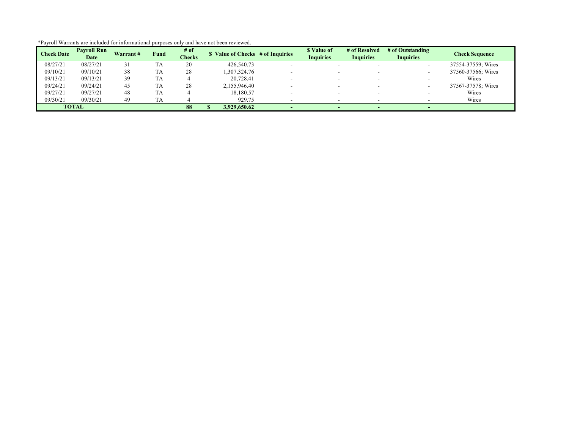| <b>Check Date</b> | <b>Payroll Run</b> | Warrant# | Fund | # of   | \$ Value of Checks # of Inquiries | \$ Value of              | # of Resolved            | # of Outstanding | <b>Check Sequence</b> |
|-------------------|--------------------|----------|------|--------|-----------------------------------|--------------------------|--------------------------|------------------|-----------------------|
|                   | Date               |          |      | Checks |                                   | <b>Inquiries</b>         | <b>Inquiries</b>         |                  |                       |
| 08/27/21          | 08/27/21           |          | TA   | 20     | 426,540.73                        |                          | $\overline{\phantom{a}}$ |                  | 37554-37559; Wires    |
| 09/10/21          | 09/10/21           | 38       | TA   | 28     | 1,307,324.76                      | $\overline{\phantom{a}}$ | $\overline{\phantom{a}}$ |                  | 37560-37566; Wires    |
| 09/13/21          | 09/13/21           | 39       | TA   |        | 20.728.41                         |                          |                          |                  | Wires                 |
| 09/24/21          | 09/24/21           | 45       | TA   | 28     | 2,155,946.40                      | $\overline{\phantom{a}}$ | $\overline{\phantom{a}}$ |                  | 37567-37578; Wires    |
| 09/27/21          | 09/27/21           | 48       | TA   |        | 18,180.57                         |                          |                          |                  | Wires                 |
| 09/30/21          | 09/30/21           | 49       | TA   |        | 929.75                            |                          |                          |                  | Wires                 |
|                   | <b>TOTAL</b>       |          |      | 88     | 3,929,650.62                      |                          |                          |                  |                       |

\*Payroll Warrants are included for informational purposes only and have not been reviewed.